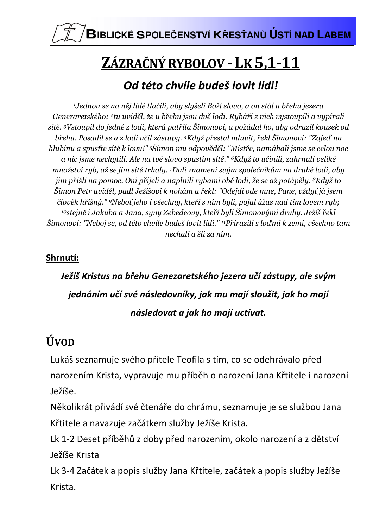

# ZÁZRAČNÝ RYBOLOV - LK 5,1-11

### Od této chyíle budeš lovit lidi!

<sup>1</sup>Jednou se na něj lidé tlačili, aby slyšeli Boží slovo, a on stál u břehu jezera Genezaretského; <sup>2</sup>tu uviděl, že u břehu jsou dvě lodi. Rybáři z nich vystoupili a vypírali sítě. <sup>3</sup>Vstoupil do jedné z lodí, která patřila Šimonovi, a požádal ho, aby odrazil kousek od břehu. Posadil se a z lodi učil zástupy. <sup>4</sup>Když přestal mluvit, řekl Šimonovi: "Zajeď na hlubinu a spusťte sítě k lovu!" <sup>5</sup>Šimon mu odpověděl: "Mistře, namáhali jsme se celou noc a nic jsme nechytili. Ale na tvé slovo spustím sítě." <sup>6</sup>Když to učinili, zahrnuli veliké množství ryb, až se jim sítě trhaly. 7Dali znamení svým společníkům na druhé lodi, aby jim přišli na pomoc. Oni přijeli a naplnili rybami obě lodi, že se až potápěly. <sup>8</sup>Když to Šimon Petr uviděl, padl Ježíšovi k nohám a řekl: "Odejdi ode mne, Pane, vždyť já jsem člověk hříšný." <sup>9</sup>Neboť jeho i všechny, kteří s ním byli, pojal úžas nad tím lovem ryb;  $^{10}$ stejně i Jakuba a Jana, syny Zebedeovy, kteří byli Šimonovými druhy. Ježíš řekl Šimonovi: "Neboj se, od této chvíle budeš lovit lidi." <sup>11</sup>Přirazili s loďmi k zemi, všechno tam nechali a šli za ním.

### Shrnutí:

## Ježíš Kristus na břehu Genezaretského jezera učí zástupy, ale svým jednáním učí své následovníky, jak mu mají sloužit, jak ho mají následovat a jak ho mají uctívat.

## **ÚVOD**

Lukáš seznamuje svého přítele Teofila s tím, co se odehrávalo před narozením Krista, vypravuje mu příběh o narození Jana Křtitele i narození Ježíše.

Několikrát přivádí své čtenáře do chrámu, seznamuje je se službou Jana Křtitele a navazuje začátkem služby Ježíše Krista.

Lk 1-2 Deset příběhů z doby před narozením, okolo narození a z dětství Ježíše Krista

Lk 3-4 Začátek a popis služby Jana Křtitele, začátek a popis služby Ježíše Krista.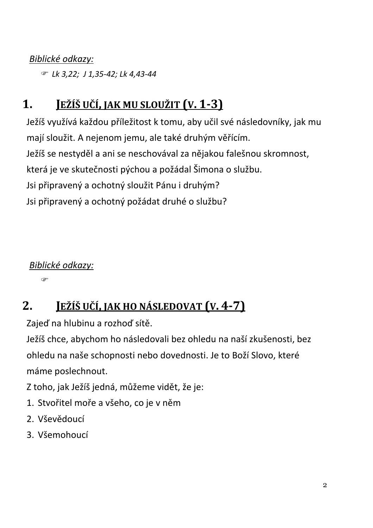### Biblické odkazy:

*■ Lk 3,22; J 1,35-42; Lk 4,43-44* 

#### $1<sub>1</sub>$ JEŽÍŠ UČÍ, JAK MU SLOUŽIT (V. 1-3)

Ježíš využívá každou příležitost k tomu, aby učil své následovníky, jak mu mají sloužit. A nejenom jemu, ale také druhým věřícím. Ježíš se nestyděl a ani se neschovával za nějakou falešnou skromnost, která je ve skutečnosti pýchou a požádal Šimona o službu. Jsi připravený a ochotný sloužit Pánu i druhým? Jsi připravený a ochotný požádat druhé o službu?

Biblické odkazy:

œ

#### $2<sub>-</sub>$ <u>Ježíš učí, jak ho následovat (v. 4-7)</u>

Zajeď na hlubinu a rozhoď sítě.

Ježíš chce, abychom ho následovali bez ohledu na naší zkušenosti, bez ohledu na naše schopnosti nebo dovednosti. Je to Boží Slovo, které máme poslechnout.

Z toho, jak Ježíš jedná, můžeme vidět, že je:

- 1. Stvořitel moře a všeho, co je v něm
- 2. Vševědoucí
- 3. Všemohoucí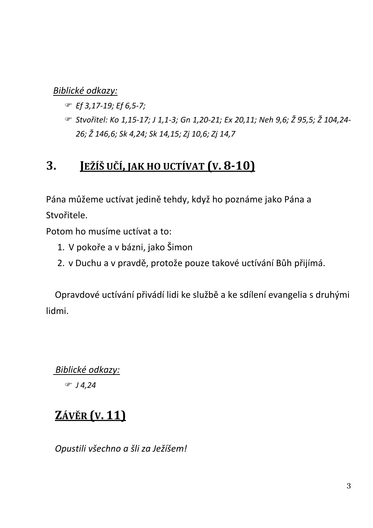Biblické odkazy:

- $F$  Ef 3, 17-19; Ef 6, 5-7;
- ☞ Stvořitel: Ko 1,15-17; J 1,1-3; Gn 1,20-21; Ex 20,11; Neh 9,6; Ž 95,5; Ž 104,24-26; Ž 146,6; Sk 4,24; Sk 14,15; Zj 10,6; Zj 14,7

#### JEŽÍŠ UČÍ, JAK HO UCTÍVAT (V. 8-10) 3.

Pána můžeme uctívat jedině tehdy, když ho poznáme jako Pána a Stvořitele.

Potom ho musíme uctívat a to:

- 1. V pokoře a v bázni, jako Šimon
- 2. v Duchu a v pravdě, protože pouze takové uctívání Bůh přijímá.

Opravdové uctívání přivádí lidi ke službě a ke sdílení evangelia s druhými lidmi.

Biblické odkazy:

 $F J 4, 24$ 

## **ZÁVĚR (V. 11)**

Opustili všechno a šli za Ježíšem!